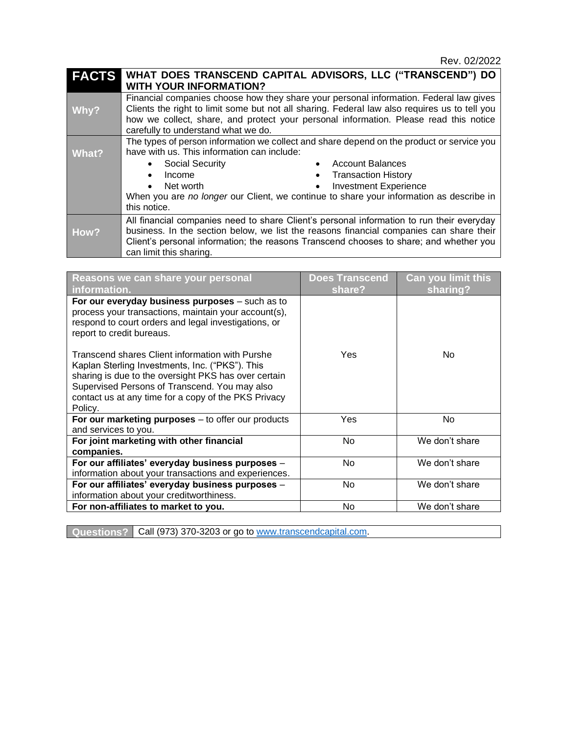| <b>FACTS</b> | WHAT DOES TRANSCEND CAPITAL ADVISORS, LLC ("TRANSCEND") DO                                                                                                                                                                                                                                                                                                                                                                                                     |  |  |
|--------------|----------------------------------------------------------------------------------------------------------------------------------------------------------------------------------------------------------------------------------------------------------------------------------------------------------------------------------------------------------------------------------------------------------------------------------------------------------------|--|--|
|              | <b>WITH YOUR INFORMATION?</b>                                                                                                                                                                                                                                                                                                                                                                                                                                  |  |  |
| Why?         | Financial companies choose how they share your personal information. Federal law gives<br>Clients the right to limit some but not all sharing. Federal law also requires us to tell you<br>how we collect, share, and protect your personal information. Please read this notice<br>carefully to understand what we do.                                                                                                                                        |  |  |
| What?        | The types of person information we collect and share depend on the product or service you<br>have with us. This information can include:<br><b>Account Balances</b><br><b>Social Security</b><br>$\bullet$<br>$\bullet$<br><b>Transaction History</b><br>Income<br>$\bullet$<br>$\bullet$<br><b>Investment Experience</b><br>Net worth<br>$\bullet$<br>When you are no longer our Client, we continue to share your information as describe in<br>this notice. |  |  |
| How?         | All financial companies need to share Client's personal information to run their everyday<br>business. In the section below, we list the reasons financial companies can share their<br>Client's personal information; the reasons Transcend chooses to share; and whether you<br>can limit this sharing.                                                                                                                                                      |  |  |

| Reasons we can share your personal<br>information.                                                                                                                                                                                                                             | <b>Does Transcend</b><br>share? | <b>Can you limit this</b><br>sharing? |
|--------------------------------------------------------------------------------------------------------------------------------------------------------------------------------------------------------------------------------------------------------------------------------|---------------------------------|---------------------------------------|
| For our everyday business purposes - such as to<br>process your transactions, maintain your account(s),<br>respond to court orders and legal investigations, or<br>report to credit bureaus.                                                                                   |                                 |                                       |
| Transcend shares Client information with Purshe<br>Kaplan Sterling Investments, Inc. ("PKS"). This<br>sharing is due to the oversight PKS has over certain<br>Supervised Persons of Transcend. You may also<br>contact us at any time for a copy of the PKS Privacy<br>Policy. | Yes                             | No.                                   |
| For our marketing purposes $-$ to offer our products<br>and services to you.                                                                                                                                                                                                   | Yes                             | No                                    |
| For joint marketing with other financial<br>companies.                                                                                                                                                                                                                         | No.                             | We don't share                        |
| For our affiliates' everyday business purposes -<br>information about your transactions and experiences.                                                                                                                                                                       | <b>No</b>                       | We don't share                        |
| For our affiliates' everyday business purposes -<br>information about your creditworthiness.                                                                                                                                                                                   | No.                             | We don't share                        |
| For non-affiliates to market to you.                                                                                                                                                                                                                                           | No                              | We don't share                        |

**Questions?** Call (973) 370-3203 or go to [www.transcendcapital.com.](http://www.transcendcapital.com/)